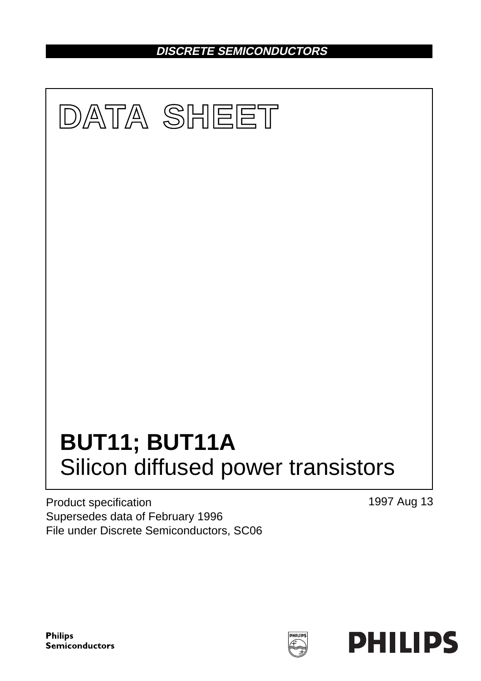**DISCRETE SEMICONDUCTORS**



Product specification Supersedes data of February 1996 File under Discrete Semiconductors, SC06 1997 Aug 13

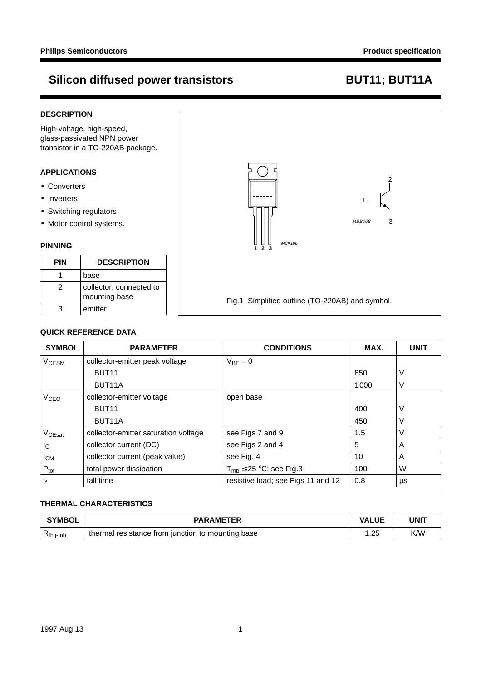## **DESCRIPTION**

High-voltage, high-speed, glass-passivated NPN power transistor in a TO-220AB package.

## **APPLICATIONS**

- Converters
- Inverters
- Switching regulators
- Motor control systems.

## **PINNING**

| PIN | <b>DESCRIPTION</b>                       |
|-----|------------------------------------------|
|     | base                                     |
| 2   | collector; connected to<br>mounting base |
|     | emitter                                  |



## **QUICK REFERENCE DATA**

| <b>SYMBOL</b>           | <b>PARAMETER</b>                     | <b>CONDITIONS</b>                  | MAX. | <b>UNIT</b> |
|-------------------------|--------------------------------------|------------------------------------|------|-------------|
| <b>V<sub>CESM</sub></b> | collector-emitter peak voltage       | $V_{BF} = 0$                       |      |             |
|                         | BUT <sub>11</sub>                    |                                    | 850  | V           |
|                         | BUT <sub>11</sub> A                  |                                    | 1000 | V           |
| V <sub>CEO</sub>        | collector-emitter voltage            | open base                          |      |             |
|                         | BUT <sub>11</sub>                    |                                    | 400  | V           |
|                         | BUT <sub>11</sub> A                  |                                    | 450  |             |
| V <sub>CEsat</sub>      | collector-emitter saturation voltage | see Figs 7 and 9                   | 1.5  | V           |
| $I_{\rm C}$             | collector current (DC)               | see Figs 2 and 4                   | 5    | A           |
| $I_{CM}$                | collector current (peak value)       | see Fig. 4                         | 10   | A           |
| $P_{\text{tot}}$        | total power dissipation              | $T_{\rm mb} \leq 25$ °C; see Fig.3 | 100  | W           |
| $t_{\rm f}$             | fall time                            | resistive load; see Figs 11 and 12 | 0.8  | μs          |

## **THERMAL CHARACTERISTICS**

| <b>SYMBOL</b>  | <b>PARAMETER</b>                                    | <b>VALUE</b> | UNIT |
|----------------|-----------------------------------------------------|--------------|------|
| $R_{th\ j-mb}$ | I thermal resistance from junction to mounting base | ົດຂ<br>ںے.   | K/W  |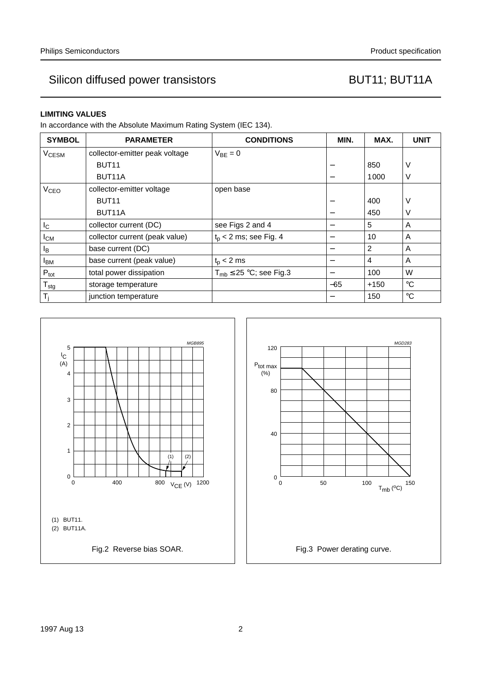## **LIMITING VALUES**

In accordance with the Absolute Maximum Rating System (IEC 134).

| <b>SYMBOL</b>           | <b>PARAMETER</b>               | <b>CONDITIONS</b>              | MIN.            | MAX.   | <b>UNIT</b> |
|-------------------------|--------------------------------|--------------------------------|-----------------|--------|-------------|
| <b>V<sub>CESM</sub></b> | collector-emitter peak voltage | $V_{BF} = 0$                   |                 |        |             |
|                         | BUT <sub>11</sub>              |                                |                 | 850    | V           |
|                         | BUT <sub>11</sub> A            |                                |                 | 1000   | V           |
| <b>V<sub>CEO</sub></b>  | collector-emitter voltage      | open base                      |                 |        |             |
|                         | BUT <sub>11</sub>              |                                | $\qquad \qquad$ | 400    | V           |
|                         | BUT <sub>11</sub> A            |                                |                 | 450    | V           |
| $I_{\rm C}$             | collector current (DC)         | see Figs 2 and 4               | —               | 5      | A           |
| $I_{CM}$                | collector current (peak value) | $t_0$ < 2 ms; see Fig. 4       | —               | 10     | A           |
| l <sub>B</sub>          | base current (DC)              |                                | $\qquad \qquad$ | 2      | A           |
| <b>I</b> <sub>BM</sub>  | base current (peak value)      | $t_{p}$ < 2 ms                 | —               | 4      | A           |
| $P_{\text{tot}}$        | total power dissipation        | $T_{mb} \leq 25$ °C; see Fig.3 | —               | 100    | W           |
| $T_{\text{stg}}$        | storage temperature            |                                | $-65$           | $+150$ | $^{\circ}C$ |
| T,                      | junction temperature           |                                |                 | 150    | $^{\circ}C$ |



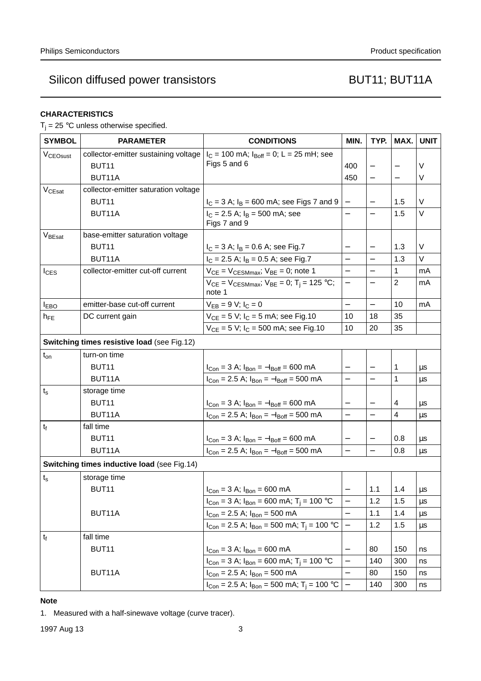## **CHARACTERISTICS**

 $T_i = 25$  °C unless otherwise specified.

| <b>SYMBOL</b>           | <b>PARAMETER</b>                            | <b>CONDITIONS</b>                                                          | MIN.                     | TYP.                     | MAX.                     | <b>UNIT</b> |
|-------------------------|---------------------------------------------|----------------------------------------------------------------------------|--------------------------|--------------------------|--------------------------|-------------|
| V <sub>CEOsust</sub>    | collector-emitter sustaining voltage        | $I_C = 100$ mA; $I_{Boff} = 0$ ; L = 25 mH; see                            |                          |                          |                          |             |
|                         | BUT <sub>11</sub>                           | Figs 5 and 6                                                               | 400                      |                          |                          | V           |
|                         | BUT11A                                      |                                                                            | 450                      |                          | $\overline{\phantom{0}}$ | V           |
| $V_{CEsat}$             | collector-emitter saturation voltage        |                                                                            |                          |                          |                          |             |
|                         | BUT <sub>11</sub>                           | $I_C = 3$ A; $I_B = 600$ mA; see Figs 7 and 9                              |                          | $\overline{\phantom{0}}$ | 1.5                      | V           |
|                         | BUT <sub>11</sub> A                         | $I_C = 2.5$ A; $I_B = 500$ mA; see                                         | $\overline{\phantom{0}}$ | $\qquad \qquad -$        | 1.5                      | V           |
|                         |                                             | Figs 7 and 9                                                               |                          |                          |                          |             |
| V <sub>BEsat</sub>      | base-emitter saturation voltage             |                                                                            |                          |                          |                          |             |
|                         | BUT <sub>11</sub>                           | $I_C = 3$ A; $I_B = 0.6$ A; see Fig.7                                      |                          |                          | 1.3                      | V           |
|                         | BUT11A                                      | $I_C = 2.5$ A; $I_B = 0.5$ A; see Fig.7                                    |                          |                          | 1.3                      | $\vee$      |
| $I_{CES}$               | collector-emitter cut-off current           | $V_{CE}$ = $V_{CESMmax}$ ; $V_{BE}$ = 0; note 1                            | $\overline{\phantom{0}}$ | $\overline{\phantom{0}}$ | 1                        | mA          |
|                         |                                             | $V_{CE} = V_{CESMmax}$ ; $V_{BE} = 0$ ; T <sub>i</sub> = 125 °C;<br>note 1 | $\overline{\phantom{0}}$ |                          | $\overline{2}$           | mA          |
| <b>I</b> <sub>EBO</sub> | emitter-base cut-off current                | $V_{EB} = 9 V; I_C = 0$                                                    | $\overline{\phantom{0}}$ |                          | 10                       | mA          |
| $h_{FE}$                | DC current gain                             | $V_{CE} = 5 V$ ; $I_C = 5 mA$ ; see Fig.10                                 | 10                       | 18                       | 35                       |             |
|                         |                                             | $V_{CE} = 5 V$ ; $I_C = 500$ mA; see Fig.10                                | 10                       | 20                       | 35                       |             |
|                         | Switching times resistive load (see Fig.12) |                                                                            |                          |                          |                          |             |
| $t_{on}$                | turn-on time                                |                                                                            |                          |                          |                          |             |
|                         | BUT <sub>11</sub>                           | $I_{Con} = 3$ A; $I_{Bon} = -I_{Boff} = 600$ mA                            |                          |                          | 1                        | μs          |
|                         | BUT <sub>11</sub> A                         | $I_{Con}$ = 2.5 A; $I_{Bon}$ = $-I_{Boff}$ = 500 mA                        | $\overline{\phantom{0}}$ | $\overline{\phantom{0}}$ | 1                        | μs          |
| $t_{\rm s}$             | storage time                                |                                                                            |                          |                          |                          |             |
|                         | BUT <sub>11</sub>                           | $I_{Con} = 3$ A; $I_{Bon} = -I_{Boff} = 600$ mA                            | $\overline{\phantom{0}}$ | $\overline{\phantom{0}}$ | 4                        | μs          |
|                         | BUT11A                                      | $I_{Con} = 2.5$ A; $I_{Bon} = -I_{Boff} = 500$ mA                          | $\overline{\phantom{0}}$ |                          | 4                        | μs          |
| $t_{f}$                 | fall time                                   |                                                                            |                          |                          |                          |             |
|                         | BUT <sub>11</sub>                           | $I_{Con} = 3$ A; $I_{Bon} = -I_{Boff} = 600$ mA                            |                          |                          | 0.8                      | μs          |
|                         | BUT11A                                      | $I_{Con}$ = 2.5 A; $I_{Bon}$ = $-I_{Boff}$ = 500 mA                        | $\overline{\phantom{0}}$ | $\overline{\phantom{0}}$ | 0.8                      | μs          |
|                         | Switching times inductive load (see Fig.14) |                                                                            |                          |                          |                          |             |
| $t_{s}$                 | storage time                                |                                                                            |                          |                          |                          |             |
|                         | BUT11                                       | $I_{Con} = 3$ A; $I_{Bon} = 600$ mA                                        |                          | 1.1                      | 1.4                      | μs          |
|                         |                                             | $I_{Con}$ = 3 A; $I_{Bon}$ = 600 mA; T <sub>i</sub> = 100 °C               |                          | 1.2                      | 1.5                      | μs          |
|                         | BUT11A                                      | $I_{Con} = 2.5$ A; $I_{Bon} = 500$ mA                                      |                          | 1.1                      | 1.4                      | μs          |
|                         |                                             | $I_{Con}$ = 2.5 A; $I_{Bon}$ = 500 mA; T <sub>j</sub> = 100 °C             |                          | 1.2                      | 1.5                      | μs          |
| $t_{\rm f}$             | fall time                                   |                                                                            |                          |                          |                          |             |
|                         | BUT <sub>11</sub>                           | $I_{Con} = 3 A; I_{Bon} = 600 mA$                                          |                          | 80                       | 150                      | ns          |
|                         |                                             | $I_{Con} = 3$ A; $I_{Bon} = 600$ mA; $T_i = 100$ °C                        |                          | 140                      | 300                      | ns          |
|                         | BUT <sub>11</sub> A                         | $I_{Con}$ = 2.5 A; $I_{Bon}$ = 500 mA                                      |                          | 80                       | 150                      | ns          |
|                         |                                             | $I_{Con}$ = 2.5 A; $I_{Bon}$ = 500 mA; T <sub>j</sub> = 100 °C             |                          | 140                      | 300                      | ns          |

## **Note**

1. Measured with a half-sinewave voltage (curve tracer).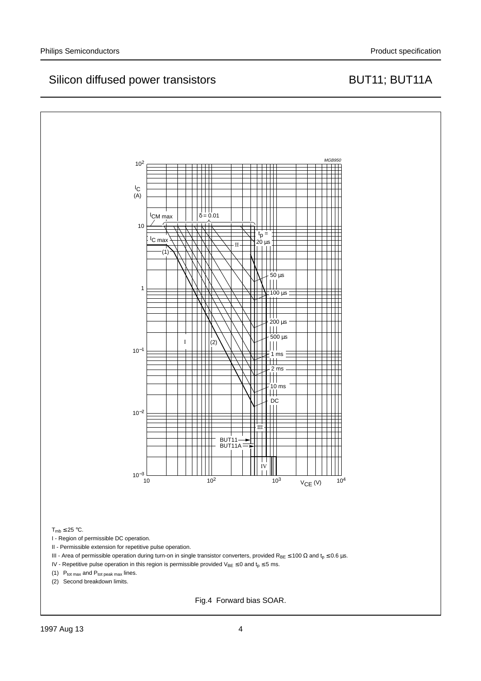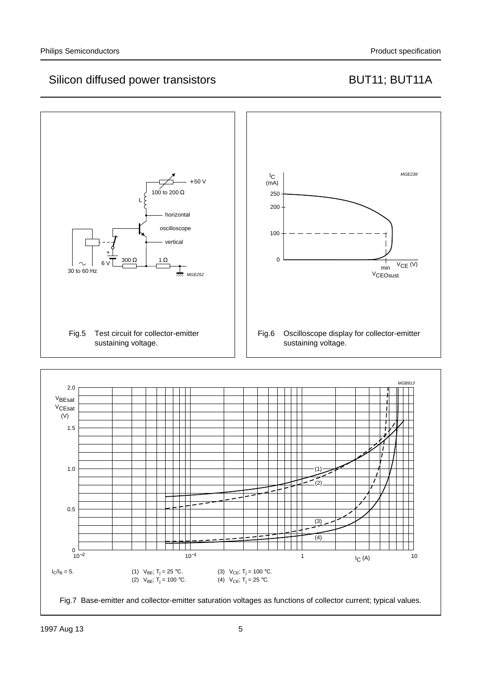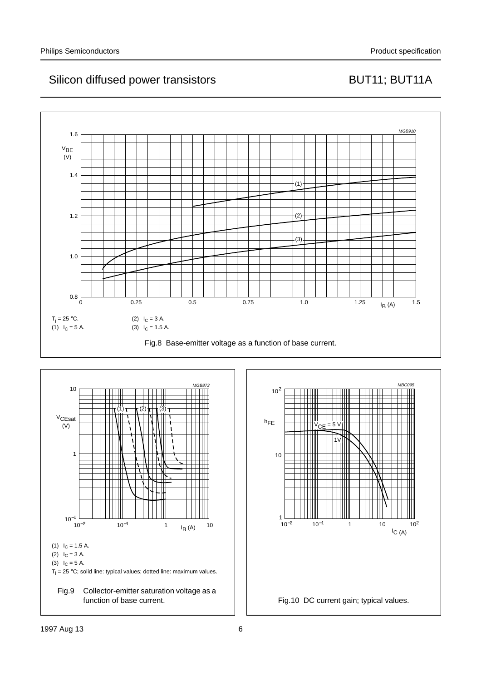



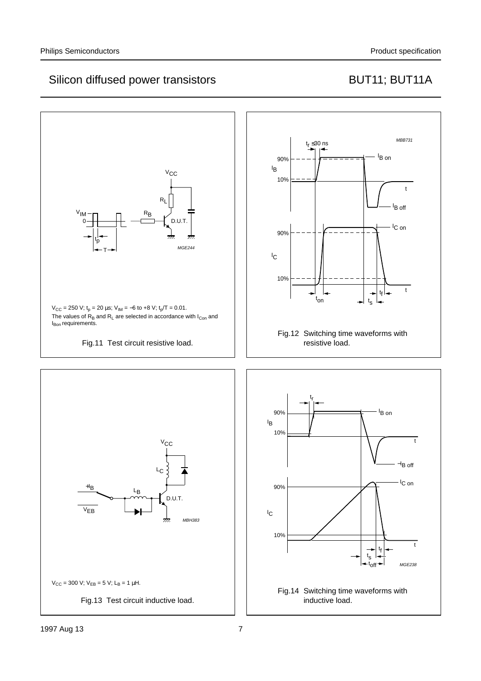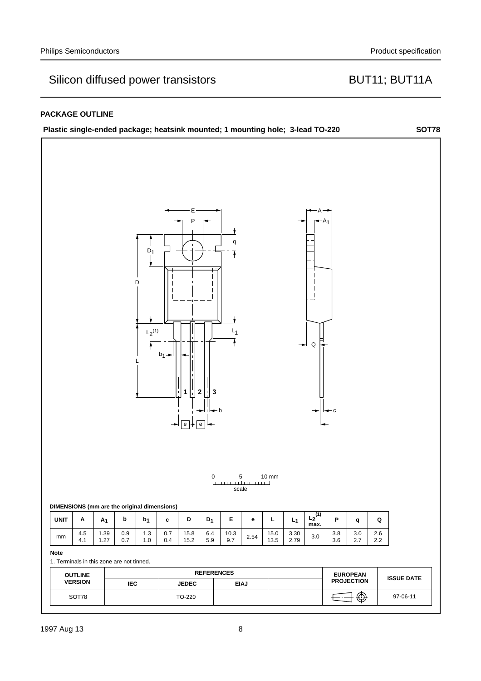## **PACKAGE OUTLINE**

|             | Plastic single-ended package; heatsink mounted; 1 mounting hole; 3-lead TO-220 |                |                |                                |                          |                                 |                                            |                                                                               |                                   |                 |                  |                     |                          |                                      |            | <b>SOT78</b>      |
|-------------|--------------------------------------------------------------------------------|----------------|----------------|--------------------------------|--------------------------|---------------------------------|--------------------------------------------|-------------------------------------------------------------------------------|-----------------------------------|-----------------|------------------|---------------------|--------------------------|--------------------------------------|------------|-------------------|
|             | DIMENSIONS (mm are the original dimensions)                                    |                |                | $D_1$<br>D<br>$L_2^{(1)}$<br>Ŧ | $b_1$ $\rightarrow$<br>↠ | Е<br>P<br>1<br>$\overline{e}$ + | $\mathbf 2$<br>3<br>$\vert e \vert$ +<br>0 | q<br>$\overline{\textbf{1}}$<br>$L_1$<br>- b<br><b>Louisian and community</b> | $\,$ 5 $\,$<br>scale              | $10 \text{ mm}$ | ↠                | $\mathsf Q$         | $+A_1$<br>$\leftarrow$ c |                                      |            |                   |
| <b>UNIT</b> | Α                                                                              | A <sub>1</sub> | $\bold{b}$     | b <sub>1</sub>                 | $\mathbf c$              | D                               | $D_1$                                      | Е                                                                             | $\mathbf{e}% _{t}\left( t\right)$ | L               | L <sub>1</sub>   | $L_2^{(1)}$<br>max. | P                        | q                                    | Q          |                   |
| mm          | 4.5<br>4.1                                                                     | 1.39<br>1.27   | $0.9\,$<br>0.7 | $1.3$<br>1.0                   | $0.7\,$<br>0.4           | 15.8<br>15.2                    | 6.4<br>5.9                                 | 10.3<br>9.7                                                                   | 2.54                              | 15.0<br>13.5    | $3.30\,$<br>2.79 | 3.0                 | $3.8\,$<br>3.6           | 3.0<br>2.7                           | 2.6<br>2.2 |                   |
| <b>Note</b> |                                                                                |                |                |                                |                          |                                 |                                            |                                                                               |                                   |                 |                  |                     |                          |                                      |            |                   |
|             | 1. Terminals in this zone are not tinned.                                      |                |                |                                |                          |                                 |                                            |                                                                               |                                   |                 |                  |                     |                          |                                      |            |                   |
|             | <b>OUTLINE</b><br><b>VERSION</b>                                               |                | <b>IEC</b>     |                                |                          | <b>JEDEC</b>                    |                                            | <b>REFERENCES</b>                                                             | <b>EIAJ</b>                       |                 |                  |                     |                          | <b>EUROPEAN</b><br><b>PROJECTION</b> |            | <b>ISSUE DATE</b> |
|             | SOT78                                                                          |                |                |                                |                          | TO-220                          |                                            |                                                                               |                                   |                 |                  |                     |                          | ⊕                                    |            | 97-06-11          |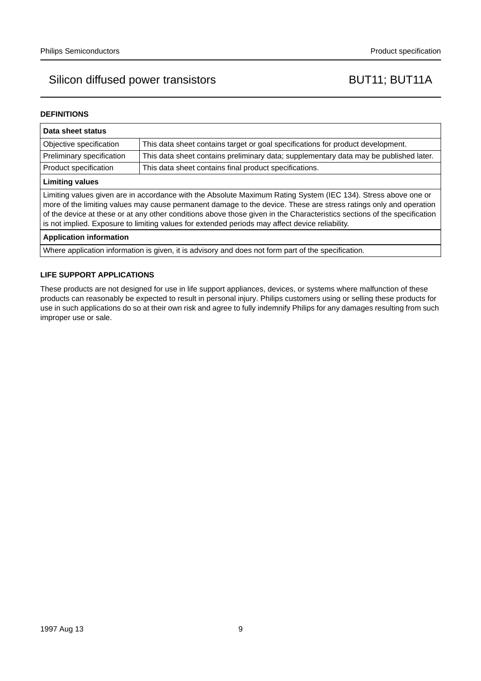## **DEFINITIONS**

| Data sheet status                                                                                                                                                                                                                                                                                                                                                                                                                                                  |                                                                                       |  |  |  |  |  |  |
|--------------------------------------------------------------------------------------------------------------------------------------------------------------------------------------------------------------------------------------------------------------------------------------------------------------------------------------------------------------------------------------------------------------------------------------------------------------------|---------------------------------------------------------------------------------------|--|--|--|--|--|--|
| Objective specification                                                                                                                                                                                                                                                                                                                                                                                                                                            | This data sheet contains target or goal specifications for product development.       |  |  |  |  |  |  |
| Preliminary specification                                                                                                                                                                                                                                                                                                                                                                                                                                          | This data sheet contains preliminary data; supplementary data may be published later. |  |  |  |  |  |  |
| Product specification                                                                                                                                                                                                                                                                                                                                                                                                                                              | This data sheet contains final product specifications.                                |  |  |  |  |  |  |
| <b>Limiting values</b>                                                                                                                                                                                                                                                                                                                                                                                                                                             |                                                                                       |  |  |  |  |  |  |
| Limiting values given are in accordance with the Absolute Maximum Rating System (IEC 134). Stress above one or<br>more of the limiting values may cause permanent damage to the device. These are stress ratings only and operation<br>of the device at these or at any other conditions above those given in the Characteristics sections of the specification<br>is not implied. Exposure to limiting values for extended periods may affect device reliability. |                                                                                       |  |  |  |  |  |  |
| <b>Application information</b>                                                                                                                                                                                                                                                                                                                                                                                                                                     |                                                                                       |  |  |  |  |  |  |
| Where application information is given, it is advisory and does not form part of the specification.                                                                                                                                                                                                                                                                                                                                                                |                                                                                       |  |  |  |  |  |  |

## **LIFE SUPPORT APPLICATIONS**

These products are not designed for use in life support appliances, devices, or systems where malfunction of these products can reasonably be expected to result in personal injury. Philips customers using or selling these products for use in such applications do so at their own risk and agree to fully indemnify Philips for any damages resulting from such improper use or sale.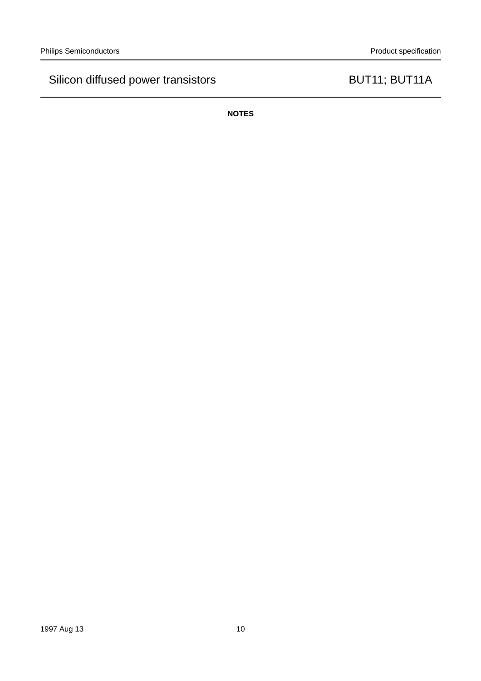**NOTES**